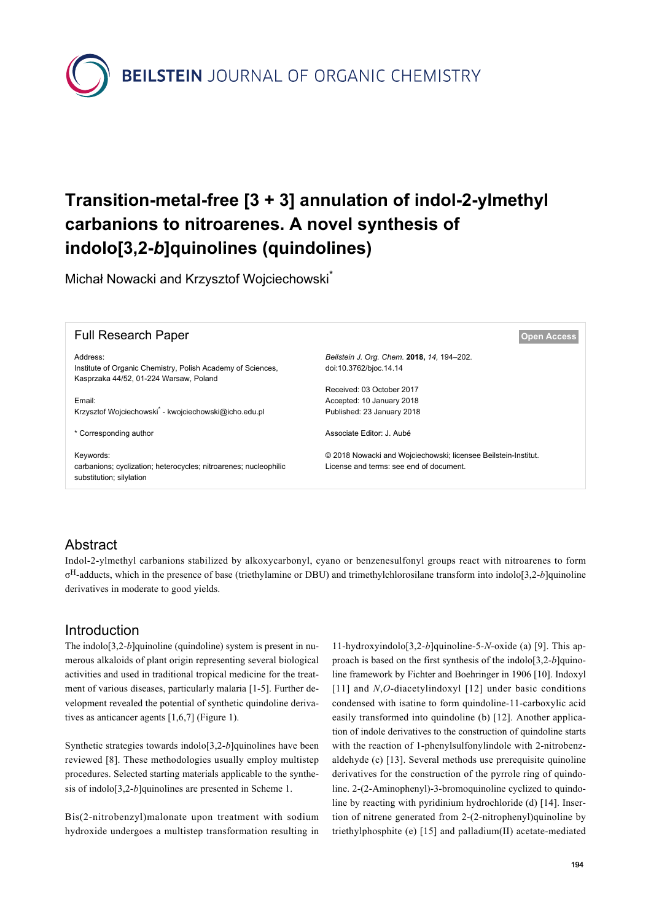

# **Transition-metal-free [3 + 3] annulation of indol-2-ylmethyl carbanions to nitroarenes. A novel synthesis of indolo[3,2-***b***]quinolines (quindolines)**

Michał Nowacki and Krzysztof Wojciechowski\*

| <b>Full Research Paper</b>                                        | <b>Open Access</b>                                             |
|-------------------------------------------------------------------|----------------------------------------------------------------|
| Address:                                                          | Beilstein J. Org. Chem. 2018, 14, 194-202.                     |
| Institute of Organic Chemistry, Polish Academy of Sciences,       | doi:10.3762/bjoc.14.14                                         |
| Kasprzaka 44/52, 01-224 Warsaw, Poland                            |                                                                |
|                                                                   | Received: 03 October 2017                                      |
| Email:                                                            | Accepted: 10 January 2018                                      |
| Krzysztof Wojciechowski <sup>*</sup> - kwojciechowski@icho.edu.pl | Published: 23 January 2018                                     |
| * Corresponding author                                            | Associate Editor: J. Aubé                                      |
| Keywords:                                                         | © 2018 Nowacki and Wojciechowski; licensee Beilstein-Institut. |
| carbanions; cyclization; heterocycles; nitroarenes; nucleophilic  | License and terms: see end of document.                        |
| substitution; silylation                                          |                                                                |
|                                                                   |                                                                |

### Abstract

Indol-2-ylmethyl carbanions stabilized by alkoxycarbonyl, cyano or benzenesulfonyl groups react with nitroarenes to form σ <sup>H</sup>-adducts, which in the presence of base (triethylamine or DBU) and trimethylchlorosilane transform into indolo[3,2-*b*]quinoline derivatives in moderate to good yields.

### Introduction

The indolo<sup>[3,2-b]quinoline (quindoline) system is present in nu-</sup> merous alkaloids of plant origin representing several biological activities and used in traditional tropical medicine for the treatment of various diseases, particularly malaria [\[1-5\].](#page-7-0) Further development revealed the potential of synthetic quindoline derivatives as anticancer agents [\[1,6,7\]](#page-7-0) ([Figure 1](#page-1-0)).

Synthetic strategies towards indolo[3,2-*b*]quinolines have been reviewed [\[8\]](#page-7-1). These methodologies usually employ multistep procedures. Selected starting materials applicable to the synthesis of indolo[3,2-*b*]quinolines are presented in [Scheme 1](#page-1-1).

Bis(2-nitrobenzyl)malonate upon treatment with sodium hydroxide undergoes a multistep transformation resulting in 11-hydroxyindolo[3,2-*b*]quinoline-5-*N*-oxide (a) [\[9\]](#page-7-2). This approach is based on the first synthesis of the indolo[3,2-*b*]quinoline framework by Fichter and Boehringer in 1906 [\[10\].](#page-7-3) Indoxyl [\[11\]](#page-7-4) and *N*,*O*-diacetylindoxyl [\[12\]](#page-7-5) under basic conditions condensed with isatine to form quindoline-11-carboxylic acid easily transformed into quindoline (b) [\[12\]](#page-7-5). Another application of indole derivatives to the construction of quindoline starts with the reaction of 1-phenylsulfonylindole with 2-nitrobenzaldehyde (c) [\[13\]](#page-7-6). Several methods use prerequisite quinoline derivatives for the construction of the pyrrole ring of quindoline. 2-(2-Aminophenyl)-3-bromoquinoline cyclized to quindoline by reacting with pyridinium hydrochloride (d) [\[14\]](#page-7-7). Insertion of nitrene generated from 2-(2-nitrophenyl)quinoline by triethylphosphite (e) [\[15\]](#page-7-8) and palladium(II) acetate-mediated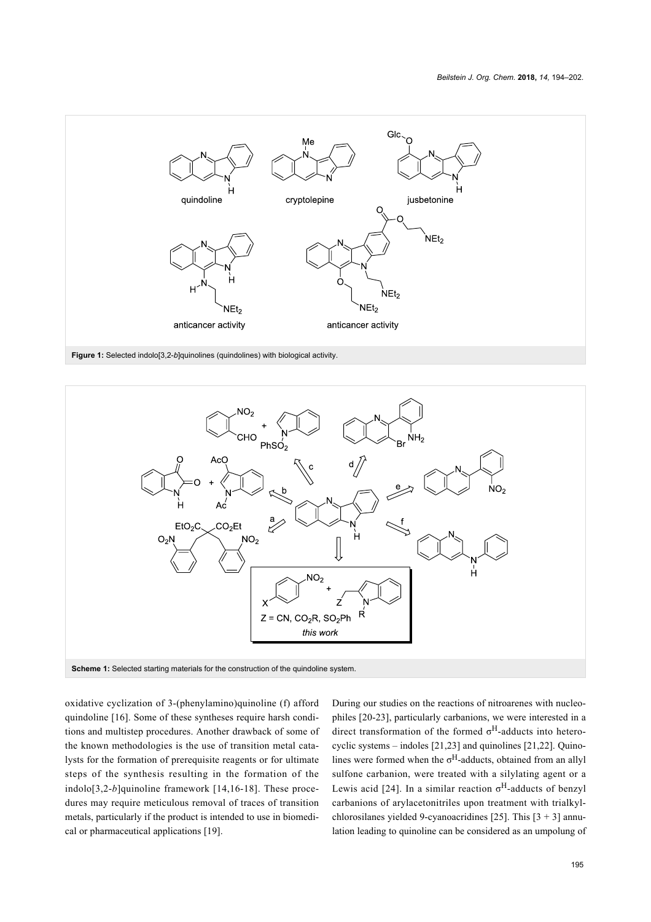<span id="page-1-0"></span>

<span id="page-1-1"></span>**Figure 1:** Selected indolo[3,2-*b*]quinolines (quindolines) with biological activity.



oxidative cyclization of 3-(phenylamino)quinoline (f) afford quindoline [\[16\]](#page-7-9). Some of these syntheses require harsh conditions and multistep procedures. Another drawback of some of the known methodologies is the use of transition metal catalysts for the formation of prerequisite reagents or for ultimate steps of the synthesis resulting in the formation of the indolo[3,2-*b*]quinoline framework [\[14,16-18\]](#page-7-7). These procedures may require meticulous removal of traces of transition metals, particularly if the product is intended to use in biomedical or pharmaceutical applications [\[19\]](#page-7-10).

During our studies on the reactions of nitroarenes with nucleophiles [\[20-23\],](#page-7-11) particularly carbanions, we were interested in a direct transformation of the formed  $\sigma^H$ -adducts into heterocyclic systems – indoles [\[21,23\]](#page-7-12) and quinolines [\[21,22\]](#page-7-12). Quinolines were formed when the  $\sigma^H$ -adducts, obtained from an allyl sulfone carbanion, were treated with a silylating agent or a Lewis acid [\[24\]](#page-8-0). In a similar reaction  $\sigma^H$ -adducts of benzyl carbanions of arylacetonitriles upon treatment with trialkyl-chlorosilanes yielded 9-cyanoacridines [\[25\].](#page-8-1) This  $[3 + 3]$  annulation leading to quinoline can be considered as an umpolung of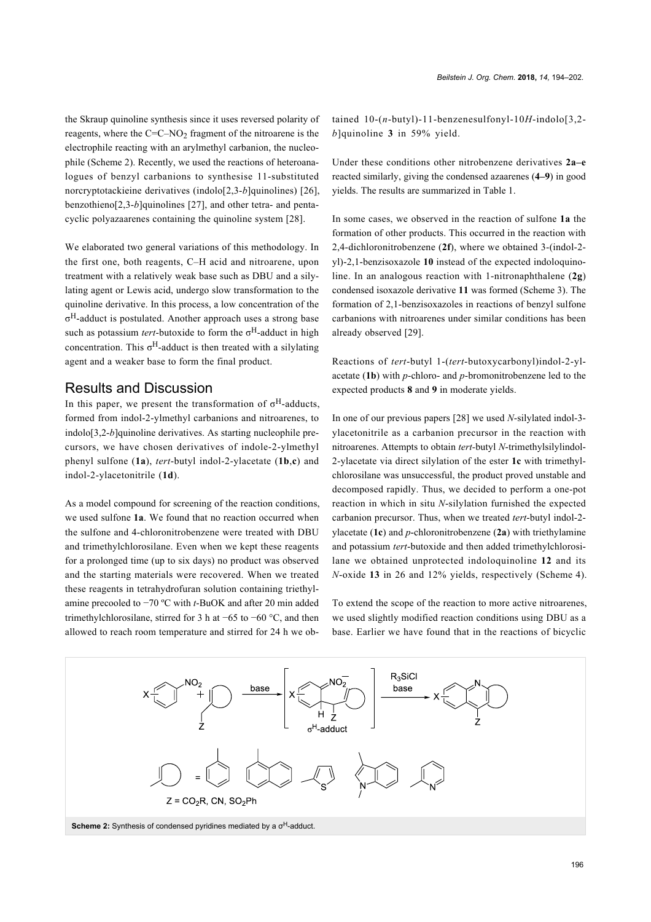the Skraup quinoline synthesis since it uses reversed polarity of reagents, where the  $C=C-NO<sub>2</sub>$  fragment of the nitroarene is the electrophile reacting with an arylmethyl carbanion, the nucleophile ([Scheme 2](#page-2-0)). Recently, we used the reactions of heteroanalogues of benzyl carbanions to synthesise 11-substituted norcryptotackieine derivatives (indolo[2,3-*b*]quinolines) [\[26\]](#page-8-2), benzothieno[2,3-*b*]quinolines [\[27\]](#page-8-3), and other tetra- and pentacyclic polyazaarenes containing the quinoline system [\[28\].](#page-8-4)

We elaborated two general variations of this methodology. In the first one, both reagents, C–H acid and nitroarene, upon treatment with a relatively weak base such as DBU and a silylating agent or Lewis acid, undergo slow transformation to the quinoline derivative. In this process, a low concentration of the σ <sup>H</sup>-adduct is postulated. Another approach uses a strong base such as potassium *tert*-butoxide to form the σ <sup>H</sup>-adduct in high concentration. This  $\sigma^H$ -adduct is then treated with a silylating agent and a weaker base to form the final product.

### Results and Discussion

In this paper, we present the transformation of  $\sigma$ <sup>H</sup>-adducts, formed from indol-2-ylmethyl carbanions and nitroarenes, to indolo[3,2-*b*]quinoline derivatives. As starting nucleophile precursors, we have chosen derivatives of indole-2-ylmethyl phenyl sulfone (**1a**), *tert*-butyl indol-2-ylacetate (**1b**,**c**) and indol-2-ylacetonitrile (**1d**).

As a model compound for screening of the reaction conditions, we used sulfone **1a**. We found that no reaction occurred when the sulfone and 4-chloronitrobenzene were treated with DBU and trimethylchlorosilane. Even when we kept these reagents for a prolonged time (up to six days) no product was observed and the starting materials were recovered. When we treated these reagents in tetrahydrofuran solution containing triethylamine precooled to −70 ºC with *t*-BuOK and after 20 min added trimethylchlorosilane, stirred for 3 h at −65 to −60 °C, and then allowed to reach room temperature and stirred for 24 h we obtained 10-(*n*-butyl)-11-benzenesulfonyl-10*H*-indolo[3,2 *b*]quinoline **3** in 59% yield.

Under these conditions other nitrobenzene derivatives **2a–e** reacted similarly, giving the condensed azaarenes (**4–9**) in good yields. The results are summarized in [Table 1](#page-3-0).

In some cases, we observed in the reaction of sulfone **1a** the formation of other products. This occurred in the reaction with 2,4-dichloronitrobenzene (**2f**), where we obtained 3-(indol-2 yl)-2,1-benzisoxazole **10** instead of the expected indoloquinoline. In an analogous reaction with 1-nitronaphthalene (**2g**) condensed isoxazole derivative **11** was formed [\(Scheme 3\)](#page-4-0). The formation of 2,1-benzisoxazoles in reactions of benzyl sulfone carbanions with nitroarenes under similar conditions has been already observed [\[29\]](#page-8-5).

Reactions of *tert*-butyl 1-(*tert*-butoxycarbonyl)indol-2-ylacetate (**1b**) with *p*-chloro- and *p*-bromonitrobenzene led to the expected products **8** and **9** in moderate yields.

In one of our previous papers [\[28\]](#page-8-4) we used *N*-silylated indol-3 ylacetonitrile as a carbanion precursor in the reaction with nitroarenes. Attempts to obtain *tert-*butyl *N*-trimethylsilylindol-2-ylacetate via direct silylation of the ester **1c** with trimethylchlorosilane was unsuccessful, the product proved unstable and decomposed rapidly. Thus, we decided to perform a one-pot reaction in which in situ *N*-silylation furnished the expected carbanion precursor. Thus, when we treated *tert*-butyl indol-2 ylacetate (**1c**) and *p*-chloronitrobenzene (**2a**) with triethylamine and potassium *tert*-butoxide and then added trimethylchlorosilane we obtained unprotected indoloquinoline **12** and its *N*-oxide **13** in 26 and 12% yields, respectively [\(Scheme 4\)](#page-4-1).

To extend the scope of the reaction to more active nitroarenes, we used slightly modified reaction conditions using DBU as a base. Earlier we have found that in the reactions of bicyclic

<span id="page-2-0"></span>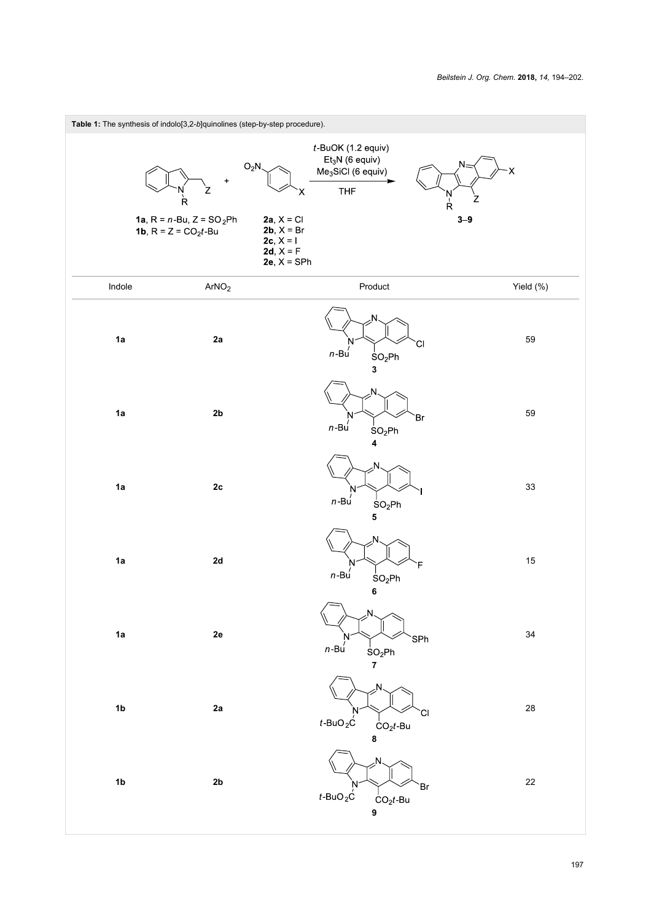<span id="page-3-0"></span>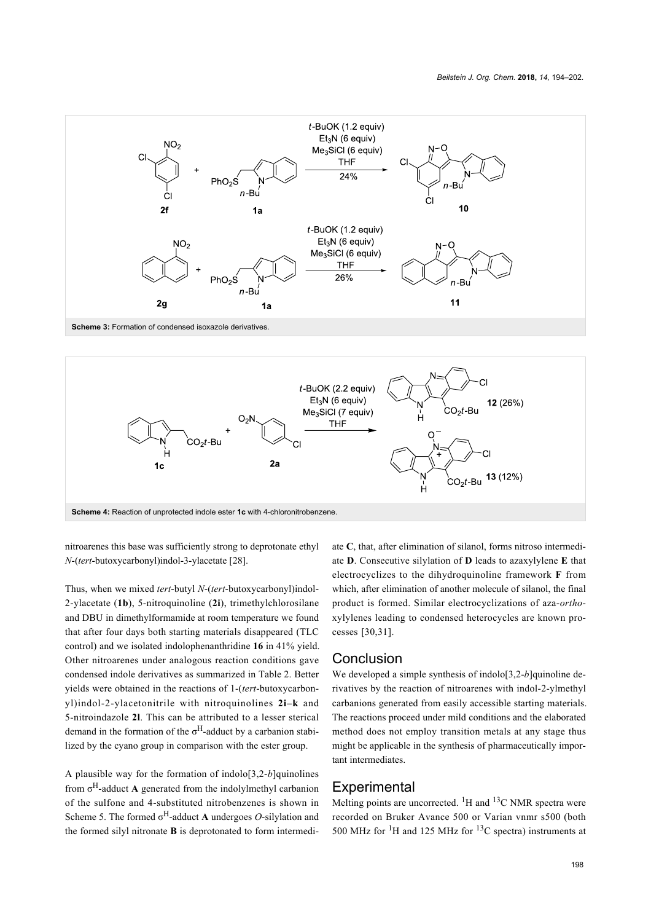<span id="page-4-0"></span>

<span id="page-4-1"></span>

nitroarenes this base was sufficiently strong to deprotonate ethyl *N*-(*tert*-butoxycarbonyl)indol-3-ylacetate [\[28\].](#page-8-4)

Thus, when we mixed *tert*-butyl *N*-(*tert*-butoxycarbonyl)indol-2-ylacetate (**1b**), 5-nitroquinoline (**2i**), trimethylchlorosilane and DBU in dimethylformamide at room temperature we found that after four days both starting materials disappeared (TLC control) and we isolated indolophenanthridine **16** in 41% yield. Other nitroarenes under analogous reaction conditions gave condensed indole derivatives as summarized in [Table 2](#page-5-0). Better yields were obtained in the reactions of 1-(*tert*-butoxycarbonyl)indol-2-ylacetonitrile with nitroquinolines **2i–k** and 5-nitroindazole **2l**. This can be attributed to a lesser sterical demand in the formation of the  $\sigma^H$ -adduct by a carbanion stabilized by the cyano group in comparison with the ester group.

A plausible way for the formation of indolo[3,2-*b*]quinolines from σ <sup>H</sup>-adduct **A** generated from the indolylmethyl carbanion of the sulfone and 4-substituted nitrobenzenes is shown in [Scheme 5.](#page-6-0) The formed σ <sup>H</sup>-adduct **A** undergoes *O*-silylation and the formed silyl nitronate **B** is deprotonated to form intermediate **C**, that, after elimination of silanol, forms nitroso intermediate **D**. Consecutive silylation of **D** leads to azaxylylene **E** that electrocyclizes to the dihydroquinoline framework **F** from which, after elimination of another molecule of silanol, the final product is formed. Similar electrocyclizations of aza-*ortho*xylylenes leading to condensed heterocycles are known processes [\[30,31\].](#page-8-6)

#### **Conclusion**

We developed a simple synthesis of indolo[3,2-*b*]quinoline derivatives by the reaction of nitroarenes with indol-2-ylmethyl carbanions generated from easily accessible starting materials. The reactions proceed under mild conditions and the elaborated method does not employ transition metals at any stage thus might be applicable in the synthesis of pharmaceutically important intermediates.

#### **Experimental**

Melting points are uncorrected. <sup>1</sup>H and <sup>13</sup>C NMR spectra were recorded on Bruker Avance 500 or Varian vnmr s500 (both 500 MHz for  ${}^{1}$ H and 125 MHz for  ${}^{13}$ C spectra) instruments at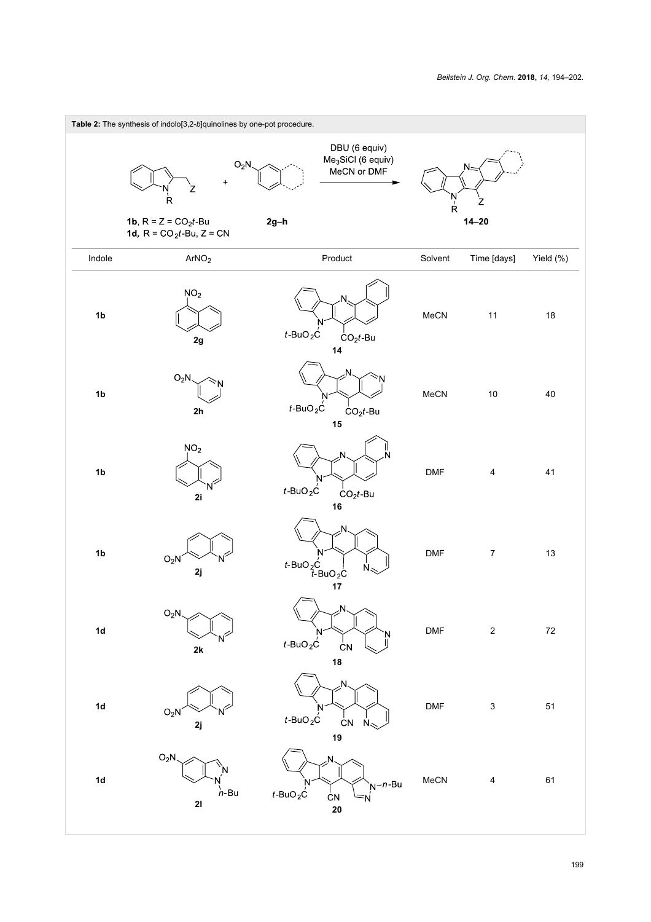<span id="page-5-0"></span>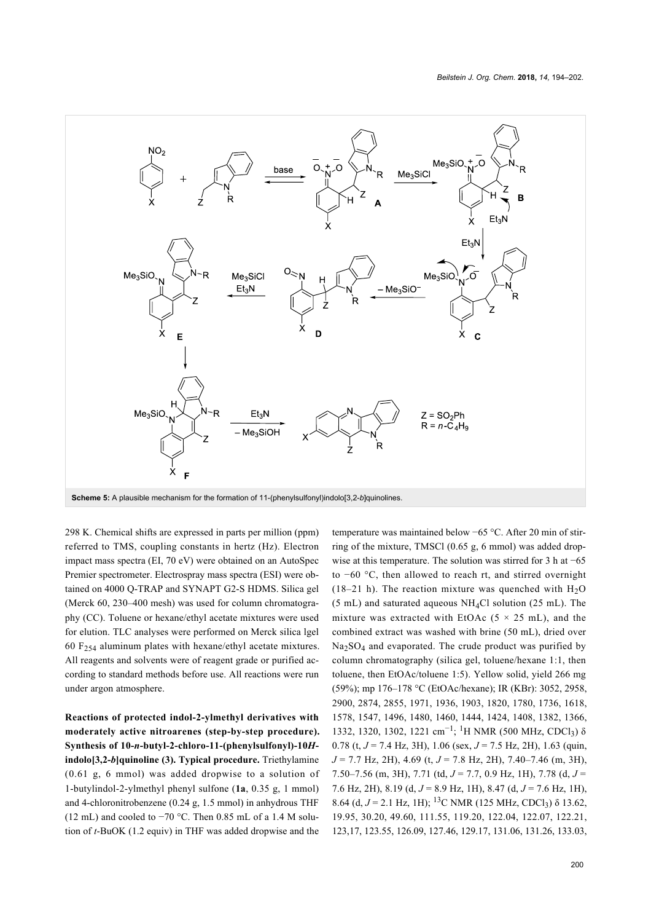<span id="page-6-0"></span>

298 K. Chemical shifts are expressed in parts per million (ppm) referred to TMS, coupling constants in hertz (Hz). Electron impact mass spectra (EI, 70 eV) were obtained on an AutoSpec Premier spectrometer. Electrospray mass spectra (ESI) were obtained on 4000 Q-TRAP and SYNAPT G2-S HDMS. Silica gel (Merck 60, 230–400 mesh) was used for column chromatography (CC). Toluene or hexane/ethyl acetate mixtures were used for elution. TLC analyses were performed on Merck silica lgel 60  $F_{254}$  aluminum plates with hexane/ethyl acetate mixtures. All reagents and solvents were of reagent grade or purified according to standard methods before use. All reactions were run under argon atmosphere.

**Reactions of protected indol-2-ylmethyl derivatives with moderately active nitroarenes (step-by-step procedure). Synthesis of 10-***n***-butyl-2-chloro-11-(phenylsulfonyl)-10***H***indolo[3,2-***b***]quinoline (3). Typical procedure.** Triethylamine (0.61 g, 6 mmol) was added dropwise to a solution of 1-butylindol-2-ylmethyl phenyl sulfone (**1a**, 0.35 g, 1 mmol) and 4-chloronitrobenzene (0.24 g, 1.5 mmol) in anhydrous THF (12 mL) and cooled to −70 °C. Then 0.85 mL of a 1.4 M solution of *t*-BuOK (1.2 equiv) in THF was added dropwise and the

temperature was maintained below −65 °C. After 20 min of stirring of the mixture, TMSCl (0.65 g, 6 mmol) was added dropwise at this temperature. The solution was stirred for 3 h at −65 to −60 °C, then allowed to reach rt, and stirred overnight (18–21 h). The reaction mixture was quenched with  $H_2O$  $(5 \text{ mL})$  and saturated aqueous NH<sub>4</sub>Cl solution (25 mL). The mixture was extracted with EtOAc  $(5 \times 25 \text{ mL})$ , and the combined extract was washed with brine (50 mL), dried over Na<sub>2</sub>SO<sub>4</sub> and evaporated. The crude product was purified by column chromatography (silica gel, toluene/hexane 1:1, then toluene, then EtOAc/toluene 1:5). Yellow solid, yield 266 mg (59%); mp 176–178 °C (EtOAc/hexane); IR (KBr): 3052, 2958, 2900, 2874, 2855, 1971, 1936, 1903, 1820, 1780, 1736, 1618, 1578, 1547, 1496, 1480, 1460, 1444, 1424, 1408, 1382, 1366, 1332, 1320, 1302, 1221 cm<sup>-1</sup>; <sup>1</sup>H NMR (500 MHz, CDCl<sub>3</sub>) δ 0.78 (t, *J* = 7.4 Hz, 3H), 1.06 (sex, *J* = 7.5 Hz, 2H), 1.63 (quin, *J* = 7.7 Hz, 2H), 4.69 (t, *J* = 7.8 Hz, 2H), 7.40–7.46 (m, 3H), 7.50–7.56 (m, 3H), 7.71 (td, *J* = 7.7, 0.9 Hz, 1H), 7.78 (d, *J* = 7.6 Hz, 2H), 8.19 (d, *J* = 8.9 Hz, 1H), 8.47 (d, *J* = 7.6 Hz, 1H), 8.64 (d, *J* = 2.1 Hz, 1H); <sup>13</sup>C NMR (125 MHz, CDCl<sub>3</sub>) δ 13.62, 19.95, 30.20, 49.60, 111.55, 119.20, 122.04, 122.07, 122.21, 123,17, 123.55, 126.09, 127.46, 129.17, 131.06, 131.26, 133.03,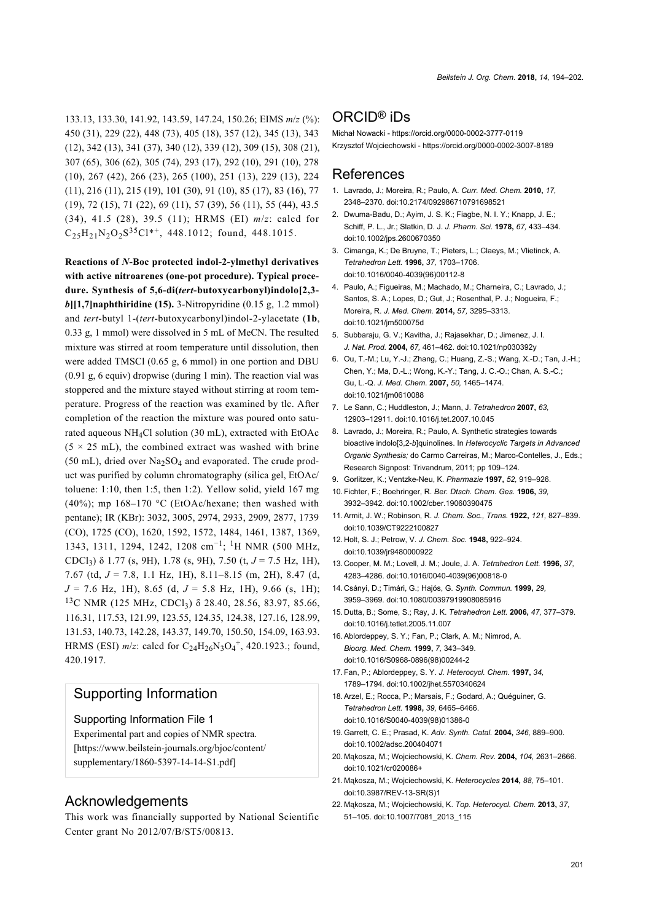133.13, 133.30, 141.92, 143.59, 147.24, 150.26; EIMS *m*/*z* (%): 450 (31), 229 (22), 448 (73), 405 (18), 357 (12), 345 (13), 343 (12), 342 (13), 341 (37), 340 (12), 339 (12), 309 (15), 308 (21), 307 (65), 306 (62), 305 (74), 293 (17), 292 (10), 291 (10), 278 (10), 267 (42), 266 (23), 265 (100), 251 (13), 229 (13), 224 (11), 216 (11), 215 (19), 101 (30), 91 (10), 85 (17), 83 (16), 77 (19), 72 (15), 71 (22), 69 (11), 57 (39), 56 (11), 55 (44), 43.5 (34), 41.5 (28), 39.5 (11); HRMS (EI) *m*/*z*: calcd for  $C_{25}H_{21}N_2O_2S^{35}Cl^{*+}$ , 448.1012; found, 448.1015.

**Reactions of** *N***-Boc protected indol-2-ylmethyl derivatives with active nitroarenes (one-pot procedure). Typical procedure. Synthesis of 5,6-di(***tert***-butoxycarbonyl)indolo[2,3** *b***][1,7]naphthiridine (15).** 3-Nitropyridine (0.15 g, 1.2 mmol) and *tert*-butyl 1-(*tert*-butoxycarbonyl)indol-2-ylacetate (**1b**, 0.33 g, 1 mmol) were dissolved in 5 mL of MeCN. The resulted mixture was stirred at room temperature until dissolution, then were added TMSCl (0.65 g, 6 mmol) in one portion and DBU (0.91 g, 6 equiv) dropwise (during 1 min). The reaction vial was stoppered and the mixture stayed without stirring at room temperature. Progress of the reaction was examined by tlc. After completion of the reaction the mixture was poured onto saturated aqueous NH4Cl solution (30 mL), extracted with EtOAc  $(5 \times 25 \text{ mL})$ , the combined extract was washed with brine (50 mL), dried over  $Na<sub>2</sub>SO<sub>4</sub>$  and evaporated. The crude product was purified by column chromatography (silica gel, EtOAc/ toluene: 1:10, then 1:5, then 1:2). Yellow solid, yield 167 mg (40%); mp  $168-170$  °C (EtOAc/hexane; then washed with pentane); IR (KBr): 3032, 3005, 2974, 2933, 2909, 2877, 1739 (CO), 1725 (CO), 1620, 1592, 1572, 1484, 1461, 1387, 1369, 1343, 1311, 1294, 1242, 1208 cm−<sup>1</sup> ; 1H NMR (500 MHz, CDCl3) δ 1.77 (s, 9H), 1.78 (s, 9H), 7.50 (t, *J* = 7.5 Hz, 1H), 7.67 (td, *J* = 7.8, 1.1 Hz, 1H), 8.11–8.15 (m, 2H), 8.47 (d, *J* = 7.6 Hz, 1H), 8.65 (d, *J* = 5.8 Hz, 1H), 9.66 (s, 1H); <sup>13</sup>C NMR (125 MHz, CDCl<sub>3</sub>) δ 28.40, 28.56, 83.97, 85.66, 116.31, 117.53, 121.99, 123.55, 124.35, 124.38, 127.16, 128.99, 131.53, 140.73, 142.28, 143.37, 149.70, 150.50, 154.09, 163.93. HRMS (ESI)  $m/z$ : calcd for  $C_{24}H_{26}N_3O_4^+$ , 420.1923.; found, 420.1917.

### Supporting Information

#### Supporting Information File 1

Experimental part and copies of NMR spectra. [\[https://www.beilstein-journals.org/bjoc/content/](https://www.beilstein-journals.org/bjoc/content/supplementary/1860-5397-14-14-S1.pdf) [supplementary/1860-5397-14-14-S1.pdf\]](https://www.beilstein-journals.org/bjoc/content/supplementary/1860-5397-14-14-S1.pdf)

#### Acknowledgements

This work was financially supported by National Scientific Center grant No 2012/07/B/ST5/00813.

### ORCID® iDs

Michał Nowacki -<https://orcid.org/0000-0002-3777-0119> Krzysztof Wojciechowski -<https://orcid.org/0000-0002-3007-8189>

#### References

- <span id="page-7-0"></span>1. Lavrado, J.; Moreira, R.; Paulo, A. *Curr. Med. Chem.* **2010,** *17,* 2348–2370. [doi:10.2174/092986710791698521](https://doi.org/10.2174%2F092986710791698521)
- 2. Dwuma-Badu, D.; Ayim, J. S. K.; Fiagbe, N. I. Y.; Knapp, J. E.; Schiff, P. L., Jr.; Slatkin, D. J. *J. Pharm. Sci.* **1978,** *67,* 433–434. [doi:10.1002/jps.2600670350](https://doi.org/10.1002%2Fjps.2600670350)
- 3. Cimanga, K.; De Bruyne, T.; Pieters, L.; Claeys, M.; Vlietinck, A. *Tetrahedron Lett.* **1996,** *37,* 1703–1706. [doi:10.1016/0040-4039\(96\)00112-8](https://doi.org/10.1016%2F0040-4039%2896%2900112-8)
- 4. Paulo, A.; Figueiras, M.; Machado, M.; Charneira, C.; Lavrado, J.; Santos, S. A.; Lopes, D.; Gut, J.; Rosenthal, P. J.; Nogueira, F.; Moreira, R. *J. Med. Chem.* **2014,** *57,* 3295–3313. [doi:10.1021/jm500075d](https://doi.org/10.1021%2Fjm500075d)
- 5. Subbaraju, G. V.; Kavitha, J.; Rajasekhar, D.; Jimenez, J. I. *J. Nat. Prod.* **2004,** *67,* 461–462. [doi:10.1021/np030392y](https://doi.org/10.1021%2Fnp030392y)
- 6. Ou, T.-M.; Lu, Y.-J.; Zhang, C.; Huang, Z.-S.; Wang, X.-D.; Tan, J.-H.; Chen, Y.; Ma, D.-L.; Wong, K.-Y.; Tang, J. C.-O.; Chan, A. S.-C.; Gu, L.-Q. *J. Med. Chem.* **2007,** *50,* 1465–1474. [doi:10.1021/jm0610088](https://doi.org/10.1021%2Fjm0610088)
- 7. Le Sann, C.; Huddleston, J.; Mann, J. *Tetrahedron* **2007,** *63,* 12903–12911. [doi:10.1016/j.tet.2007.10.045](https://doi.org/10.1016%2Fj.tet.2007.10.045)
- <span id="page-7-1"></span>8. Lavrado, J.; Moreira, R.; Paulo, A. Synthetic strategies towards bioactive indolo[3,2-*b*]quinolines. In *Heterocyclic Targets in Advanced Organic Synthesis;* do Carmo Carreiras, M.; Marco-Contelles, J., Eds.; Research Signpost: Trivandrum, 2011; pp 109–124.
- <span id="page-7-2"></span>9. Gorlitzer, K.; Ventzke-Neu, K. *Pharmazie* **1997,** *52,* 919–926.
- <span id="page-7-3"></span>10.Fichter, F.; Boehringer, R. *Ber. Dtsch. Chem. Ges.* **1906,** *39,* 3932–3942. [doi:10.1002/cber.19060390475](https://doi.org/10.1002%2Fcber.19060390475)
- <span id="page-7-4"></span>11.Armit, J. W.; Robinson, R. *J. Chem. Soc., Trans.* **1922,** *121,* 827–839. [doi:10.1039/CT9222100827](https://doi.org/10.1039%2FCT9222100827)
- <span id="page-7-5"></span>12. Holt, S. J.; Petrow, V. *J. Chem. Soc.* **1948,** 922–924. [doi:10.1039/jr9480000922](https://doi.org/10.1039%2Fjr9480000922)
- <span id="page-7-6"></span>13. Cooper, M. M.; Lovell, J. M.; Joule, J. A. *Tetrahedron Lett.* **1996,** *37,* 4283–4286. [doi:10.1016/0040-4039\(96\)00818-0](https://doi.org/10.1016%2F0040-4039%2896%2900818-0)
- <span id="page-7-7"></span>14. Csányi, D.; Timári, G.; Hajós, G. *Synth. Commun.* **1999,** *29,* 3959–3969. [doi:10.1080/00397919908085916](https://doi.org/10.1080%2F00397919908085916)
- <span id="page-7-8"></span>15. Dutta, B.; Some, S.; Ray, J. K. *Tetrahedron Lett.* **2006,** *47,* 377–379. [doi:10.1016/j.tetlet.2005.11.007](https://doi.org/10.1016%2Fj.tetlet.2005.11.007)
- <span id="page-7-9"></span>16.Ablordeppey, S. Y.; Fan, P.; Clark, A. M.; Nimrod, A. *Bioorg. Med. Chem.* **1999,** *7,* 343–349. [doi:10.1016/S0968-0896\(98\)00244-2](https://doi.org/10.1016%2FS0968-0896%2898%2900244-2)
- 17.Fan, P.; Ablordeppey, S. Y. *J. Heterocycl. Chem.* **1997,** *34,* 1789–1794. [doi:10.1002/jhet.5570340624](https://doi.org/10.1002%2Fjhet.5570340624)
- 18.Arzel, E.; Rocca, P.; Marsais, F.; Godard, A.; Quéguiner, G. *Tetrahedron Lett.* **1998,** *39,* 6465–6466. [doi:10.1016/S0040-4039\(98\)01386-0](https://doi.org/10.1016%2FS0040-4039%2898%2901386-0)
- <span id="page-7-10"></span>19.Garrett, C. E.; Prasad, K. *Adv. Synth. Catal.* **2004,** *346,* 889–900. [doi:10.1002/adsc.200404071](https://doi.org/10.1002%2Fadsc.200404071)
- <span id="page-7-11"></span>20. Mąkosza, M.; Wojciechowski, K. *Chem. Rev.* **2004,** *104,* 2631–2666. [doi:10.1021/cr020086+](https://doi.org/10.1021%2Fcr020086%2B)
- <span id="page-7-12"></span>21. Mąkosza, M.; Wojciechowski, K. *Heterocycles* **2014,** *88,* 75–101. [doi:10.3987/REV-13-SR\(S\)1](https://doi.org/10.3987%2FREV-13-SR%28S%291)
- 22. Mąkosza, M.; Wojciechowski, K. *Top. Heterocycl. Chem.* **2013,** *37,* 51–105. [doi:10.1007/7081\\_2013\\_115](https://doi.org/10.1007%2F7081_2013_115)